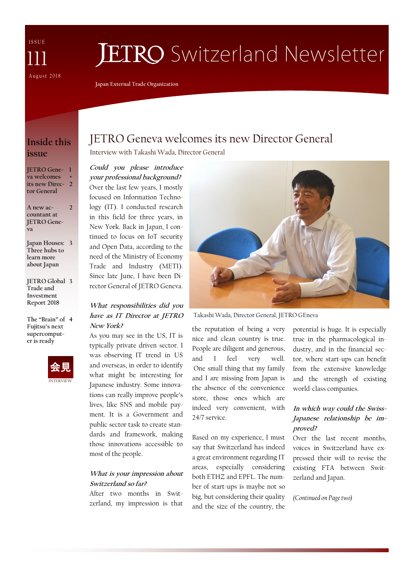I S S U E August 2018 111

# **JETRO** Switzerland Newsletter

**Japan External Trade Organization**

### **Inside this issue**

**JETRO Gene-1 va welcomes its new Direc-2 tor General +** 

**A new accountant at JETRO Geneva 2**

**Japan Houses: 3 Three hubs to learn more about Japan**

**JETRO Global 3 Trade and Investment Report 2018**

**The "Brain" of 4Fujitsu's next supercomputer is ready**



# JETRO Geneva welcomes its new Director General

Interview with Takashi Wada, Director General

**Could you please introduce your professional background?** Over the last few years, I mostly focused on Information Technology (IT). I conducted research in this field for three years, in New York. Back in Japan, I continued to focus on IoT security and Open Data, according to the need of the Ministry of Economy Trade and Industry (METI). Since late June, I have been Director General of JETRO Geneva.

#### **What responsibilities did you have as IT Director at JETRO New York?**

As you may see in the US, IT is typically private driven sector. I was observing IT trend in US and overseas, in order to identify what might be interesting for Japanese industry. Some innovations can really improve people's lives, like SNS and mobile payment. It is a Government and public sector task to create standards and framework, making those innovations accessible to most of the people.

#### **What is your impression about Switzerland so far?**

After two months in Switzerland, my impression is that



Takashi Wada, Director General, JETRO GEneva

the reputation of being a very nice and clean country is true. People are diligent and generous, and I feel very well. One small thing that my family and I are missing from Japan is the absence of the convenience store, those ones which are indeed very convenient, with 24/7 service.

Based on my experience, I must say that Switzerland has indeed a great environment regarding IT areas, especially considering both ETHZ and EPFL. The number of start-ups is maybe not so big, but considering their quality and the size of the country, the

potential is huge. It is especially true in the pharmacological industry, and in the financial sector, where start-ups can benefit from the extensive knowledge and the strength of existing world-class companies.

#### **In which way could the Swiss-Japanese relationship be improved?**

Over the last recent months, voices in Switzerland have expressed their will to revise the existing FTA between Switzerland and Japan.

*(Continued on Page two)*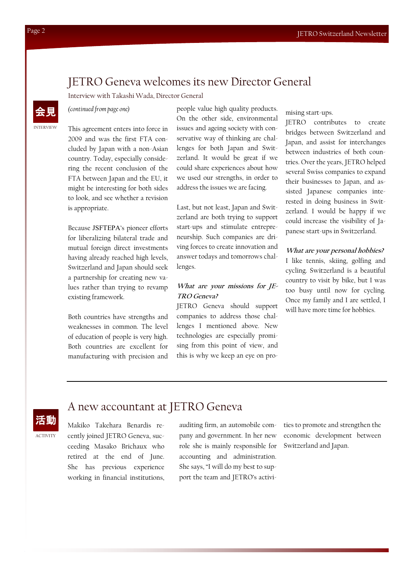### JETRO Geneva welcomes its new Director General

Interview with Takashi Wada, Director General

*(continued from page one)* 

This agreement enters into force in 2009 and was the first FTA concluded by Japan with a non-Asian country. Today, especially considering the recent conclusion of the FTA between Japan and the EU, it might be interesting for both sides to look, and see whether a revision is appropriate.

Because JSFTEPA's pioneer efforts for liberalizing bilateral trade and mutual foreign direct investments having already reached high levels, Switzerland and Japan should seek a partnership for creating new values rather than trying to revamp existing framework.

Both countries have strengths and weaknesses in common. The level of education of people is very high. Both countries are excellent for manufacturing with precision and

Makiko Takehara Benardis recently joined JETRO Geneva, succeeding Masako Brichaux who retired at the end of June. She has previous experience working in financial institutions, people value high quality products. On the other side, environmental issues and ageing society with conservative way of thinking are challenges for both Japan and Switzerland. It would be great if we could share experiences about how we used our strengths, in order to address the issues we are facing.

Last, but not least, Japan and Switzerland are both trying to support start-ups and stimulate entrepreneurship. Such companies are driving forces to create innovation and answer todays and tomorrows challenges.

#### **What are your missions for JE-TRO Geneva?**

JETRO Geneva should support companies to address those challenges I mentioned above. New technologies are especially promising from this point of view, and this is why we keep an eye on promising start-ups.

JETRO contributes to create bridges between Switzerland and Japan, and assist for interchanges between industries of both countries. Over the years, JETRO helped several Swiss companies to expand their businesses to Japan, and assisted Japanese companies interested in doing business in Switzerland. I would be happy if we could increase the visibility of Japanese start-ups in Switzerland.

#### **What are your personal hobbies?**

I like tennis, skiing, golfing and cycling. Switzerland is a beautiful country to visit by bike, but I was too busy until now for cycling. Once my family and I are settled, I will have more time for hobbies.



ACTIVITY

### A new accountant at JETRO Geneva

auditing firm, an automobile company and government. In her new role she is mainly responsible for accounting and administration. She says, "I will do my best to support the team and JETRO's activities to promote and strengthen the economic development between Switzerland and Japan.

INTERVIEW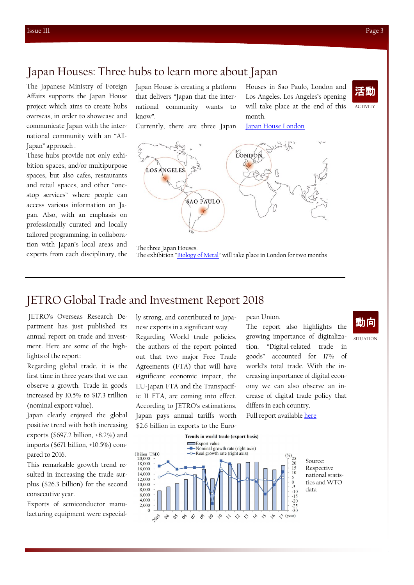# Japan Houses: Three hubs to learn more about Japan

The Japanese Ministry of Foreign Affairs supports the Japan House project which aims to create hubs overseas, in order to showcase and communicate Japan with the international community with an "All-Japan" approach .

These hubs provide not only exhibition spaces, and/or multipurpose spaces, but also cafes, restaurants and retail spaces, and other "onestop services" where people can access various information on Japan. Also, with an emphasis on professionally curated and locally tailored programming, in collaboration with Japan's local areas and experts from each disciplinary, the Japan House is creating a platform that delivers "Japan that the international community wants to know".

Currently, there are three Japan

Houses in Sao Paulo, London and Los Angeles. Los Angeles's opening will take place at the end of this month.

[Japan House London](https://www.japanhouselondon.uk/?gclid=CjwKCAjwtvnbBRA5EiwAcRvnptdVg_6Wbv9GAnNdO0ElK0VVH-49_4ylx1a2Hw6YxbFCzeVznu7-txoCfsoQAvD_BwE)



LONDON **LOS ANGELES** SAO PAULO

The three Japan Houses. The exhibition "[Biology of Metal](https://www.japanhouselondon.uk/whats-on/biology-of-metal-craftsmanship-in-tsubame-sanjo/)" will take place in London for two months

### JETRO Global Trade and Investment Report 2018

JETRO's Overseas Research Department has just published its annual report on trade and investment. Here are some of the highlights of the report:

Regarding global trade, it is the first time in three years that we can observe a growth. Trade in goods increased by 10.5% to \$17.3 trillion (nominal export value).

Japan clearly enjoyed the global positive trend with both increasing exports (\$697.2 billion, +8.2%) and imports (\$671 billion, +10.5%) compared to 2016.

This remarkable growth trend resulted in increasing the trade surplus (\$26.3 billion) for the second consecutive year.

Exports of semiconductor manufacturing equipment were especial-

ly strong, and contributed to Japanese exports in a significant way. Regarding World trade policies, the authors of the report pointed out that two major Free Trade Agreements (FTA) that will have significant economic impact, the EU-Japan FTA and the Transpacific 11 FTA, are coming into effect. According to JETRO's estimations, Japan pays annual tariffs worth \$2.6 billion in exports to the Euro-

#### pean Union.

The report also highlights the growing importance of digitalization. "Digital-related trade in goods" accounted for 17% of world's total trade. With the increasing importance of digital economy we can also observe an increase of digital trade policy that differs in each country. Full report available [here](https://www.jetro.go.jp/ext_images/en/news/releases/2018/77fd93c565ffb27a/overview.pdf)

SITUATION 動向



Trends in world trade (export basis)

Source: Respective national statistics and WTO data